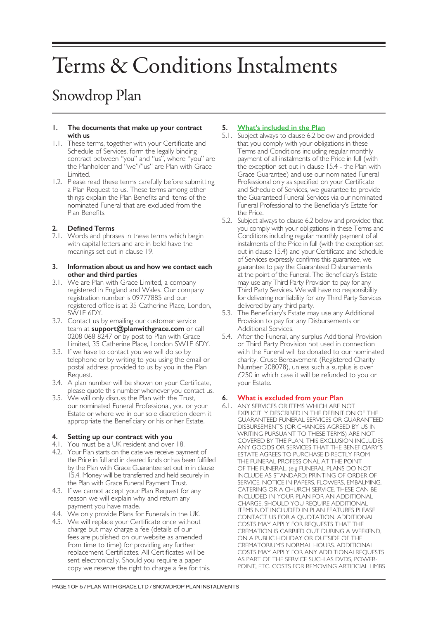# Terms & Conditions Instalments

# Snowdrop Plan

#### **1. The documents that make up your contract with us**

- 1.1. These terms, together with your Certificate and Schedule of Services, form the legally binding contract between "you" and "us", where "you" are the Planholder and "we"/"us" are Plan with Grace Limited.
- 1.2. Please read these terms carefully before submitting a Plan Request to us. These terms among other things explain the Plan Benefits and items of the nominated Funeral that are excluded from the Plan Benefits.

# **2. Defined Terms**

2.1. Words and phrases in these terms which begin with capital letters and are in bold have the meanings set out in clause 19.

#### **3. Information about us and how we contact each other and third parties**

- 3.1. We are Plan with Grace Limited, a company registered in England and Wales. Our company registration number is 09777885 and our registered office is at 35 Catherine Place, London, SW1E 6DY.
- 3.2. Contact us by emailing our customer service team at **support@planwithgrace.com** or call 0208 068 8247 or by post to Plan with Grace Limited, 35 Catherine Place, London SW1E 6DY.
- 3.3. If we have to contact you we will do so by telephone or by writing to you using the email or postal address provided to us by you in the Plan Request.
- 3.4. A plan number will be shown on your Certificate, please quote this number whenever you contact us.
- 3.5. We will only discuss the Plan with the Trust, our nominated Funeral Professional, you or your Estate or where we in our sole discretion deem it appropriate the Beneficiary or his or her Estate.

# **4. Setting up our contract with you**

- 4.1. You must be a UK resident and over 18.
- 4.2. Your Plan starts on the date we receive payment of the Price in full and in cleared funds or has been fulfilled by the Plan with Grace Guarantee set out in in clause 15.4. Money will be transferred and held securely in the Plan with Grace Funeral Payment Trust.
- 4.3. If we cannot accept your Plan Request for any reason we will explain why and return any payment you have made.
- 4.4. We only provide Plans for Funerals in the UK.
- 4.5. We will replace your Certificate once without charge but may charge a fee (details of our fees are published on our website as amended from time to time) for providing any further replacement Certificates. All Certificates will be sent electronically. Should you require a paper copy we reserve the right to charge a fee for this.

# **5. What's included in the Plan**

- 5.1. Subject always to clause 6.2 below and provided that you comply with your obligations in these Terms and Conditions including regular monthly payment of all instalments of the Price in full (with the exception set out in clause 15.4 - the Plan with Grace Guarantee) and use our nominated Funeral Professional only as specified on your Certificate and Schedule of Services, we guarantee to provide the Guaranteed Funeral Services via our nominated Funeral Professional to the Beneficiary's Estate for the Price.
- 5.2. Subject always to clause 6.2 below and provided that you comply with your obligations in these Terms and Conditions including regular monthly payment of all instalments of the Price in full (with the exception set out in clause 15.4) and your Certificate and Schedule of Services expressly confirms this guarantee, we guarantee to pay the Guaranteed Disbursements at the point of the Funeral. The Beneficiary's Estate may use any Third Party Provision to pay for any Third Party Services. We will have no responsibility for delivering nor liability for any Third Party Services delivered by any third party.
- 5.3. The Beneficiary's Estate may use any Additional Provision to pay for any Disbursements or Additional Services.
- 5.4. After the Funeral, any surplus Additional Provision or Third Party Provision not used in connection with the Funeral will be donated to our nominated charity, Cruse Bereavement (Registered Charity Number 208078), unless such a surplus is over £250 in which case it will be refunded to you or your Estate.

# **6. What is excluded from your Plan**

6.1. ANY SERVICES OR ITEMS WHICH ARE NOT EXPLICITLY DESCRIBED IN THE DEFINITION OF THE GUARANTEED FUNERAL SERVICES OR GUARANTEED DISBURSEMENTS (OR CHANGES AGREED BY US IN WRITING PURSUANT TO THESE TERMS) ARE NOT COVERED BY THE PLAN. THIS EXCLUSION INCLUDES ANY GOODS OR SERVICES THAT THE BENEFICIARY'S ESTATE AGREES TO PURCHASE DIRECTLY FROM THE FUNERAL PROFESSIONAL AT THE POINT OF THE FUNERAL. (e.g FUNERAL PLANS DO NOT INCLUDE AS STANDARD: PRINTING OF ORDER OF SERVICE, NOTICE IN PAPERS, FLOWERS, EMBALMING, CATERING OR A CHURCH SERVICE. THESE CAN BE INCLUDED IN YOUR PLAN FOR AN ADDITIONAL CHARGE. SHOULD YOU REQUIRE ADDITIONAL ITEMS NOT INCLUDED IN PLAN FEATURES PLEASE CONTACT US FOR A QUOTATION. ADDITIONAL COSTS MAY APPLY FOR REQUESTS THAT THE CREMATION IS CARRIED OUT DURING A WEEKEND, ON A PUBLIC HOLIDAY OR OUTSIDE OF THE CREMATORIUM'S NORMAL HOURS. ADDITIONAL COSTS MAY APPLY FOR ANY ADDITIONALREQUESTS AS PART OF THE SERVICE SUCH AS DVDS, POWER-POINT, ETC. COSTS FOR REMOVING ARTIFICIAL LIMBS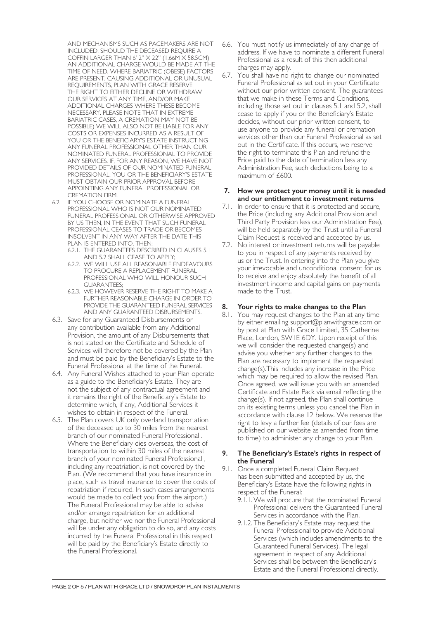AND MECHANISMS SUCH AS PACEMAKERS ARE NOT INCLUDED. SHOULD THE DECEASED REQUIRE A COFFIN LARGER THAN 6' 2" X 22" (1.66M X 58.5CM) AN ADDITIONAL CHARGE WOULD BE MADE AT THE TIME OF NEED. WHERE BARIATRIC (OBESE) FACTORS ARE PRESENT, CAUSING ADDITIONAL OR UNUSUAL REQUIREMENTS, PLAN WITH GRACE RESERVE THE RIGHT TO EITHER DECLINE OR WITHDRAW OUR SERVICES AT ANY TIME, AND/OR MAKE ADDITIONAL CHARGES WHERE THESE BECOME NECESSARY. PLEASE NOTE THAT IN EXTREME BARIATRIC CASES, A CREMATION MAY NOT BE POSSIBLE) WE WILL ALSO NOT BE LIABLE FOR ANY COSTS OR EXPENSES INCURRED AS A RESULT OF YOU OR THE BENEFICIARY'S ESTATE INSTRUCTING ANY FUNERAL PROFESSIONAL OTHER THAN OUR NOMINATED FUNERAL PROFESSIONAL TO PROVIDE ANY SERVICES. IF, FOR ANY REASON, WE HAVE NOT PROVIDED DETAILS OF OUR NOMINATED FUNERAL PROFESSIONAL, YOU OR THE BENEFICIARY'S ESTATE MUST OBTAIN OUR PRIOR APPROVAL BEFORE APPOINTING ANY FUNERAL PROFESSIONAL OR CREMATION FIRM.

- 6.2. IF YOU CHOOSE OR NOMINATE A FUNERAL PROFESSIONAL WHO IS NOT OUR NOMINATED FUNERAL PROFESSIONAL OR OTHERWISE APPROVED BY US THEN, IN THE EVENT THAT SUCH FUNERAL PROFESSIONAL CEASES TO TRADE OR BECOMES INSOLVENT IN ANY WAY AFTER THE DATE THIS PLAN IS ENTERED INTO, THEN:
	- 6.2.1. THE GUARANTEES DESCRIBED IN CLAUSES 5.1 AND 5.2 SHALL CEASE TO APPLY;
	- 6.2.2. WE WILL USE ALL REASONABLE ENDEAVOURS TO PROCURE A REPLACEMENT FUNERAL PROFESSIONAL WHO WILL HONOUR SUCH GUARANTEES;
	- 6.2.3. WE HOWEVER RESERVE THE RIGHT TO MAKE A FURTHER REASONABLE CHARGE IN ORDER TO PROVIDE THE GUARANTEED FUNERAL SERVICES AND ANY GUARANTEED DISBURSEMENTS.
- 6.3. Save for any Guaranteed Disbursements or any contribution available from any Additional Provision, the amount of any Disbursements that is not stated on the Certificate and Schedule of Services will therefore not be covered by the Plan and must be paid by the Beneficiary's Estate to the Funeral Professional at the time of the Funeral.
- 6.4. Any Funeral Wishes attached to your Plan operate as a guide to the Beneficiary's Estate. They are not the subject of any contractual agreement and it remains the right of the Beneficiary's Estate to determine which, if any, Additional Services it wishes to obtain in respect of the Funeral.
- 6.5. The Plan covers UK only overland transportation of the deceased up to 30 miles from the nearest branch of our nominated Funeral Professional . Where the Beneficiary dies overseas, the cost of transportation to within 30 miles of the nearest branch of your nominated Funeral Professional , including any repatriation, is not covered by the Plan. (We recommend that you have insurance in place, such as travel insurance to cover the costs of repatriation if required. In such cases arrangements would be made to collect you from the airport.) The Funeral Professional may be able to advise and/or arrange repatriation for an additional charge, but neither we nor the Funeral Professional will be under any obligation to do so, and any costs incurred by the Funeral Professional in this respect will be paid by the Beneficiary's Estate directly to the Funeral Professional.
- 6.6. You must notify us immediately of any change of address. If we have to nominate a different Funeral Professional as a result of this then additional charges may apply.
- 6.7. You shall have no right to change our nominated Funeral Professional as set out in your Certificate without our prior written consent. The guarantees that we make in these Terms and Conditions, including those set out in clauses 5.1 and 5.2, shall cease to apply if you or the Beneficiary's Estate decides, without our prior written consent, to use anyone to provide any funeral or cremation services other than our Funeral Professional as set out in the Certificate. If this occurs, we reserve the right to terminate this Plan and refund the Price paid to the date of termination less any Administration Fee, such deductions being to a maximum of £600.

#### **7. How we protect your money until it is needed and our entitlement to investment returns**

- 7.1. In order to ensure that it is protected and secure, the Price (including any Additional Provision and Third Party Provision less our Administration Fee), will be held separately by the Trust until a Funeral Claim Request is received and accepted by us.
- 7.2. No interest or investment returns will be payable to you in respect of any payments received by us or the Trust. In entering into the Plan you give your irrevocable and unconditional consent for us to receive and enjoy absolutely the benefit of all investment income and capital gains on payments made to the Trust.

# **8. Your rights to make changes to the Plan**

8.1. You may request changes to the Plan at any time by either emailing support@planwithgrace.com or by post at Plan with Grace Limited, 35 Catherine Place, London, SW1E 6DY. Upon receipt of this we will consider the requested change(s) and advise you whether any further changes to the Plan are necessary to implement the requested change(s).This includes any increase in the Price which may be required to allow the revised Plan. Once agreed, we will issue you with an amended Certificate and Estate Pack via email reflecting the change(s). If not agreed, the Plan shall continue on its existing terms unless you cancel the Plan in accordance with clause 12 below. We reserve the right to levy a further fee (details of our fees are published on our website as amended from time to time) to administer any change to your Plan.

#### **9. The Beneficiary's Estate's rights in respect of the Funeral**

- 9.1. Once a completed Funeral Claim Request has been submitted and accepted by us, the Beneficiary's Estate have the following rights in respect of the Funeral:
	- 9.1.1.We will procure that the nominated Funeral Professional delivers the Guaranteed Funeral Services in accordance with the Plan.
	- 9.1.2. The Beneficiary's Estate may request the Funeral Professional to provide Additional Services (which includes amendments to the Guaranteed Funeral Services). The legal agreement in respect of any Additional Services shall be between the Beneficiary's Estate and the Funeral Professional directly.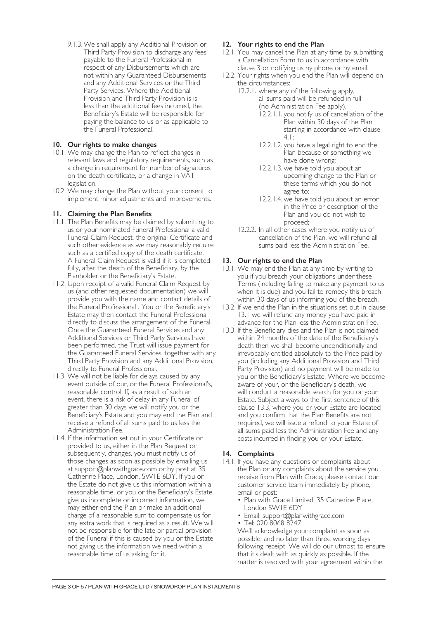9.1.3.We shall apply any Additional Provision or Third Party Provision to discharge any fees payable to the Funeral Professional in respect of any Disbursements which are not within any Guaranteed Disbursements and any Additional Services or the Third Party Services. Where the Additional Provision and Third Party Provision is is less than the additional fees incurred, the Beneficiary's Estate will be responsible for paying the balance to us or as applicable to the Funeral Professional.

# **10. Our rights to make changes**

- 10.1. We may change the Plan to reflect changes in relevant laws and regulatory requirements, such as a change in requirement for number of signatures on the death certificate, or a change in VAT legislation.
- 10.2. We may change the Plan without your consent to implement minor adjustments and improvements.

# **11. Claiming the Plan Benefits**

- 11.1. The Plan Benefits may be claimed by submitting to us or your nominated Funeral Professional a valid Funeral Claim Request, the original Certificate and such other evidence as we may reasonably require such as a certified copy of the death certificate. A Funeral Claim Request is valid if it is completed fully, after the death of the Beneficiary, by the Planholder or the Beneficiary's Estate.
- 11.2. Upon receipt of a valid Funeral Claim Request by us (and other requested documentation) we will provide you with the name and contact details of the Funeral Professional . You or the Beneficiary's Estate may then contact the Funeral Professional directly to discuss the arrangement of the Funeral. Once the Guaranteed Funeral Services and any Additional Services or Third Party Services have been performed, the Trust will issue payment for the Guaranteed Funeral Services, together with any Third Party Provision and any Additional Provision, directly to Funeral Professional.
- 11.3. We will not be liable for delays caused by any event outside of our, or the Funeral Professional's, reasonable control. If, as a result of such an event, there is a risk of delay in any Funeral of greater than 30 days we will notify you or the Beneficiary's Estate and you may end the Plan and receive a refund of all sums paid to us less the Administration Fee.
- 11.4. If the information set out in your Certificate or provided to us, either in the Plan Request or subsequently, changes, you must notify us of those changes as soon as possible by emailing us at support@planwithgrace.com or by post at 35 Catherine Place, London, SW1E 6DY. If you or the Estate do not give us this information within a reasonable time, or you or the Beneficiary's Estate give us incomplete or incorrect information, we may either end the Plan or make an additional charge of a reasonable sum to compensate us for any extra work that is required as a result. We will not be responsible for the late or partial provision of the Funeral if this is caused by you or the Estate not giving us the information we need within a reasonable time of us asking for it.

# **12. Your rights to end the Plan**

- 12.1. You may cancel the Plan at any time by submitting a Cancellation Form to us in accordance with clause 3 or notifying us by phone or by email.
- 12.2. Your rights when you end the Plan will depend on the circumstances:
	- 12.2.1. where any of the following apply, all sums paid will be refunded in full (no Administration Fee apply).
		- 12.2.1.1. you notify us of cancellation of the Plan within 30 days of the Plan starting in accordance with clause 4.1;
		- 12.2.1.2. you have a legal right to end the Plan because of something we have done wrong;
		- 12.2.1.3. we have told you about an upcoming change to the Plan or these terms which you do not agree to;
		- 12.2.1.4. we have told you about an error in the Price or description of the Plan and you do not wish to proceed;
	- 12.2.2. In all other cases where you notify us of cancellation of the Plan, we will refund all sums paid less the Administration Fee.

# **13. Our rights to end the Plan**

- 13.1. We may end the Plan at any time by writing to you if you breach your obligations under these Terms (including failing to make any payment to us when it is due) and you fail to remedy this breach within 30 days of us informing you of the breach.
- 13.2. If we end the Plan in the situations set out in clause 13.1 we will refund any money you have paid in advance for the Plan less the Administration Fee.
- 13.3. If the Beneficiary dies and the Plan is not claimed within 24 months of the date of the Beneficiary's death then we shall become unconditionally and irrevocably entitled absolutely to the Price paid by you (including any Additional Provision and Third Party Provision) and no payment will be made to you or the Beneficiary's Estate. Where we become aware of your, or the Beneficiary's death, we will conduct a reasonable search for you or your Estate. Subject always to the first sentence of this clause 13.3, where you or your Estate are located and you confirm that the Plan Benefits are not required, we will issue a refund to your Estate of all sums paid less the Administration Fee and any costs incurred in finding you or your Estate.

#### **14. Complaints**

- 14.1. If you have any questions or complaints about the Plan or any complaints about the service you receive from Plan with Grace, please contact our customer service team immediately by phone, email or post:
	- Plan with Grace Limited, 35 Catherine Place, London SW1E 6DY
	- Email: support@planwithgrace.com
	- Tel: 020 8068 8247

We'll acknowledge your complaint as soon as possible, and no later than three working days following receipt. We will do our utmost to ensure that it's dealt with as quickly as possible. If the matter is resolved with your agreement within the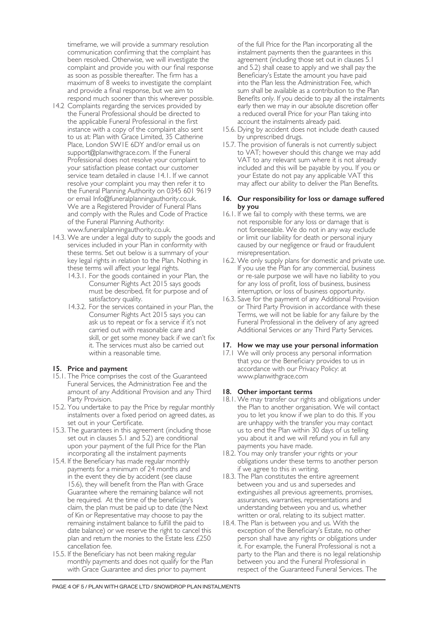timeframe, we will provide a summary resolution communication confirming that the complaint has been resolved. Otherwise, we will investigate the complaint and provide you with our final response as soon as possible thereafter. The firm has a maximum of 8 weeks to investigate the complaint and provide a final response, but we aim to respond much sooner than this wherever possible.

- 14.2 Complaints regarding the services provided by the Funeral Professional should be directed to the applicable Funeral Professional in the first instance with a copy of the complaint also sent to us at: Plan with Grace Limited, 35 Catherine Place, London SW1E 6DY and/or email us on support@planwithgrace.com. If the Funeral Professional does not resolve your complaint to your satisfaction please contact our customer service team detailed in clause 14.1. If we cannot resolve your complaint you may then refer it to the Funeral Planning Authority on 0345 601 9619 or email Info@funeralplanningauthority.co.uk. We are a Registered Provider of Funeral Plans and comply with the Rules and Code of Practice of the Funeral Planning Authority: www.funeralplanningauthority.co.uk.
- 14.3. We are under a legal duty to supply the goods and services included in your Plan in conformity with these terms. Set out below is a summary of your key legal rights in relation to the Plan. Nothing in these terms will affect your legal rights.
	- 14.3.1. For the goods contained in your Plan, the Consumer Rights Act 2015 says goods must be described, fit for purpose and of satisfactory quality.
	- 14.3.2. For the services contained in your Plan, the Consumer Rights Act 2015 says you can ask us to repeat or fix a service if it's not carried out with reasonable care and skill, or get some money back if we can't fix it. The services must also be carried out within a reasonable time.

#### **15. Price and payment**

- 15.1. The Price comprises the cost of the Guaranteed Funeral Services, the Administration Fee and the amount of any Additional Provision and any Third Party Provision.
- 15.2. You undertake to pay the Price by regular monthly instalments over a fixed period on agreed dates, as set out in your Certificate.
- 15.3. The guarantees in this agreement (including those set out in clauses 5.1 and 5.2) are conditional upon your payment of the full Price for the Plan incorporating all the instalment payments
- 15.4. If the Beneficiary has made regular monthly payments for a minimum of 24 months and in the event they die by accident (see clause 15.6), they will benefit from the Plan with Grace Guarantee where the remaining balance will not be required. At the time of the beneficiary's claim, the plan must be paid up to date (the Next of Kin or Representative may choose to pay the remaining instalment balance to fulfill the paid to date balance) or we reserve the right to cancel this plan and return the monies to the Estate less £250 cancellation fee.
- 15.5. If the Beneficiary has not been making regular monthly payments and does not qualify for the Plan with Grace Guarantee and dies prior to payment

of the full Price for the Plan incorporating all the instalment payments then the guarantees in this agreement (including those set out in clauses 5.1 and 5.2) shall cease to apply and we shall pay the Beneficiary's Estate the amount you have paid into the Plan less the Administration Fee, which sum shall be available as a contribution to the Plan Benefits only. If you decide to pay all the instalments early then we may in our absolute discretion offer a reduced overall Price for your Plan taking into account the instalments already paid.

- 15.6. Dying by accident does not include death caused by unprescribed drugs.
- 15.7. The provision of funerals is not currently subject to VAT; however should this change we may add VAT to any relevant sum where it is not already included and this will be payable by you. If you or your Estate do not pay any applicable VAT this may affect our ability to deliver the Plan Benefits.

### **16. Our responsibility for loss or damage suffered by you**

- 16.1. If we fail to comply with these terms, we are not responsible for any loss or damage that is not foreseeable. We do not in any way exclude or limit our liability for death or personal injury caused by our negligence or fraud or fraudulent misrepresentation.
- 16.2. We only supply plans for domestic and private use. If you use the Plan for any commercial, business or re-sale purpose we will have no liability to you for any loss of profit, loss of business, business interruption, or loss of business opportunity.
- 16.3. Save for the payment of any Additional Provision or Third Party Provision in accordance with these Terms, we will not be liable for any failure by the Funeral Professional in the delivery of any agreed Additional Services or any Third Party Services.

#### **17. How we may use your personal information**

17.1 We will only process any personal information that you or the Beneficiary provides to us in accordance with our Privacy Policy: at www.planwithgrace.com

#### **18. Other important terms**

- 18.1. We may transfer our rights and obligations under the Plan to another organisation. We will contact you to let you know if we plan to do this. If you are unhappy with the transfer you may contact us to end the Plan within 30 days of us telling you about it and we will refund you in full any payments you have made.
- 18.2. You may only transfer your rights or your obligations under these terms to another person if we agree to this in writing.
- 18.3. The Plan constitutes the entire agreement between you and us and supersedes and extinguishes all previous agreements, promises, assurances, warranties, representations and understanding between you and us, whether written or oral, relating to its subject matter.
- 18.4. The Plan is between you and us. With the exception of the Beneficiary's Estate, no other person shall have any rights or obligations under it. For example, the Funeral Professional is not a party to the Plan and there is no legal relationship between you and the Funeral Professional in respect of the Guaranteed Funeral Services. The